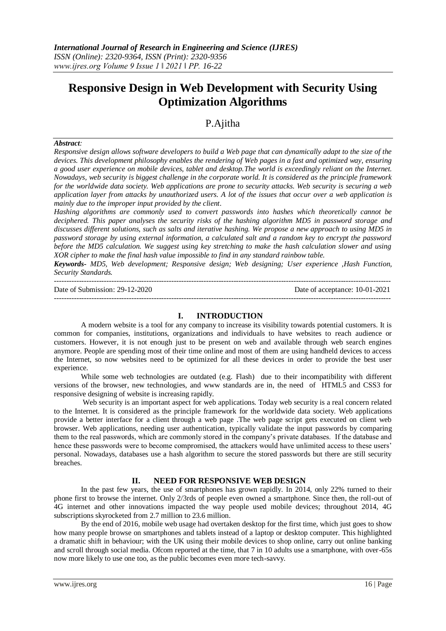# **Responsive Design in Web Development with Security Using Optimization Algorithms**

## P.Ajitha

#### *Abstract:*

*Responsive design allows software developers to build a Web page that can dynamically adapt to the size of the devices. This development philosophy enables the rendering of Web pages in a fast and optimized way, ensuring a good user experience on mobile devices, tablet and desktop.The world is exceedingly reliant on the Internet. Nowadays, web security is biggest challenge in the corporate world. It is considered as the principle framework for the worldwide data society. Web applications are prone to security attacks. Web security is securing a web application layer from attacks by unauthorized users. A lot of the issues that occur over a web application is mainly due to the improper input provided by the client.*

*Hashing algorithms are commonly used to convert passwords into hashes which theoretically cannot be deciphered. This paper analyses the security risks of the hashing algorithm MD5 in password storage and discusses different solutions, such as salts and iterative hashing. We propose a new approach to using MD5 in password storage by using external information, a calculated salt and a random key to encrypt the password before the MD5 calculation. We suggest using key stretching to make the hash calculation slower and using XOR cipher to make the final hash value impossible to find in any standard rainbow table.*

*Keywords- MD5, Web development; Responsive design; Web designing; User experience ,Hash Function, Security Standards.*

--------------------------------------------------------------------------------------------------------------------------------------- Date of Submission: 29-12-2020 Date of acceptance: 10-01-2021 ---------------------------------------------------------------------------------------------------------------------------------------

#### **I. INTRODUCTION**

A modern website is a tool for any company to increase its visibility towards potential customers. It is common for companies, institutions, organizations and individuals to have websites to reach audience or customers. However, it is not enough just to be present on web and available through web search engines anymore. People are spending most of their time online and most of them are using handheld devices to access the Internet, so now websites need to be optimized for all these devices in order to provide the best user experience.

While some web technologies are outdated (e.g. Flash) due to their incompatibility with different versions of the browser, new technologies, and www standards are in, the need of HTML5 and CSS3 for responsive designing of website is increasing rapidly.

Web security is an important aspect for web applications. Today web security is a real concern related to the Internet. It is considered as the principle framework for the worldwide data society. Web applications provide a better interface for a client through a web page .The web page script gets executed on client web browser. Web applications, needing user authentication, typically validate the input passwords by comparing them to the real passwords, which are commonly stored in the company's private databases. If the database and hence these passwords were to become compromised, the attackers would have unlimited access to these users' personal. Nowadays, databases use a hash algorithm to secure the stored passwords but there are still security breaches.

#### **II. NEED FOR RESPONSIVE WEB DESIGN**

In the past few years, the use of smartphones has grown rapidly. In 2014, only 22% turned to their phone first to browse the internet. Only 2/3rds of people even owned a smartphone. Since then, the roll-out of 4G internet and other innovations impacted the way people used mobile devices; throughout 2014, 4G subscriptions skyrocketed from 2.7 million to 23.6 million.

By the end of 2016, mobile web usage had overtaken desktop for the first time, which just goes to show how many people browse on smartphones and tablets instead of a laptop or desktop computer. This highlighted a dramatic shift in behaviour; with the UK using their mobile devices to shop online, carry out online banking and scroll through social media. Ofcom reported at the time, that 7 in 10 adults use a smartphone, with over-65s now more likely to use one too, as the public becomes even more tech-savvy.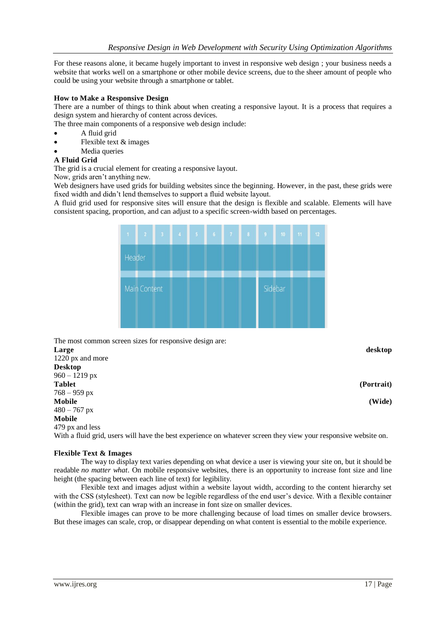For these reasons alone, it became hugely important to invest in responsive web design ; your business needs a website that works well on a smartphone or other mobile device screens, due to the sheer amount of people who could be using your website through a smartphone or tablet.

## **How to Make a Responsive Design**

There are a number of things to think about when creating a responsive layout. It is a process that requires a design system and hierarchy of content across devices.

The three main components of a responsive web design include:

- A fluid grid
- Flexible text & images
- Media queries

## **A Fluid Grid**

The grid is a crucial element for creating a responsive layout.

Now, grids aren't anything new.

Web designers have used grids for building websites since the beginning. However, in the past, these grids were fixed width and didn't lend themselves to support a fluid website layout.

A fluid grid used for responsive sites will ensure that the design is flexible and scalable. Elements will have consistent spacing, proportion, and can adjust to a specific screen-width based on percentages.

| 1 <sup>1</sup> | $\overline{2}$ | $\overline{\mathbf{3}}$ | $\overline{4}$ | $\overline{\mathbf{5}}$ | $\overline{6}$ | $\mathbf{7}$ | $\bf 8$ | $\overline{9}$ | 10 <sup>°</sup> | 11 | 12 |  |  |
|----------------|----------------|-------------------------|----------------|-------------------------|----------------|--------------|---------|----------------|-----------------|----|----|--|--|
| Header         |                |                         |                |                         |                |              |         |                |                 |    |    |  |  |
|                | Main Content   |                         |                |                         |                |              |         |                | Sidebar         |    |    |  |  |

The most common screen sizes for responsive design are: **Large desktop** 1220 px and more **Desktop**  $960 - 1219$  px **Tablet (Portrait)** 768 – 959 px **Mobile (Wide)**  $480 - 767$  px **Mobile** 479 px and less With a fluid grid, users will have the best experience on whatever screen they view your responsive website on.

#### **Flexible Text & Images**

The way to display text varies depending on what device a user is viewing your site on, but it should be readable *no matter what*. On mobile responsive websites, there is an opportunity to increase font size and line height (the spacing between each line of text) for legibility.

Flexible text and images adjust within a website layout width, according to the content hierarchy set with the CSS (stylesheet). Text can now be legible regardless of the end user's device. With a flexible container (within the grid), text can wrap with an increase in font size on smaller devices.

Flexible images can prove to be more challenging because of load times on smaller device browsers. But these images can scale, crop, or disappear depending on what content is essential to the mobile experience.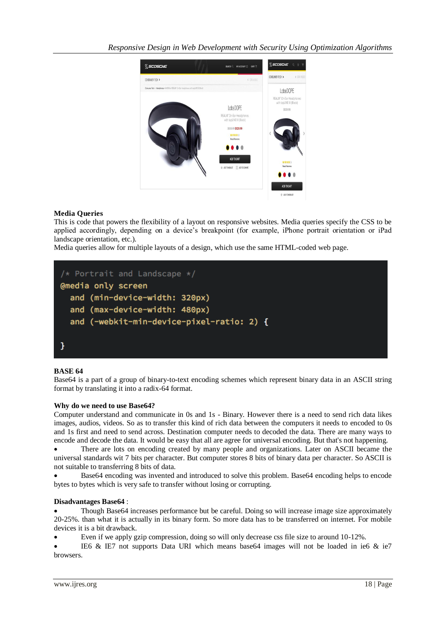

## **Media Queries**

This is code that powers the flexibility of a layout on responsive websites. Media queries specify the CSS to be applied accordingly, depending on a device's breakpoint (for example, iPhone portrait orientation or iPad landscape orientation, etc.).

Media queries allow for multiple layouts of a design, which use the same HTML-coded web page.



## **BASE 64**

Base64 is a part of a group of binary-to-text encoding schemes which represent binary data in an ASCII string format by translating it into a radix-64 format.

#### **Why do we need to use Base64?**

Computer understand and communicate in 0s and 1s - Binary. However there is a need to send rich data likes images, audios, videos. So as to transfer this kind of rich data between the computers it needs to encoded to 0s and 1s first and need to send across. Destination computer needs to decoded the data. There are many ways to encode and decode the data. It would be easy that all are agree for universal encoding. But that's not happening.

 There are lots on encoding created by many people and organizations. Later on ASCII became the universal standards wit 7 bits per character. But computer stores 8 bits of binary data per character. So ASCII is not suitable to transferring 8 bits of data.

 Base64 encoding was invented and introduced to solve this problem. Base64 encoding helps to encode bytes to bytes which is very safe to transfer without losing or corrupting.

#### **Disadvantages Base64** :

 Though Base64 increases performance but be careful. Doing so will increase image size approximately 20-25%. than what it is actually in its binary form. So more data has to be transferred on internet. For mobile devices it is a bit drawback.

Even if we apply gzip compression, doing so will only decrease css file size to around 10-12%.

 IE6 & IE7 not supports Data URI which means base64 images will not be loaded in ie6 & ie7 browsers.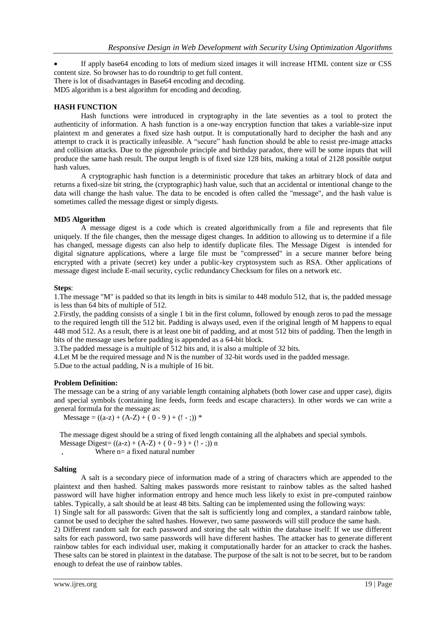If apply base64 encoding to lots of medium sized images it will increase HTML content size or CSS content size. So browser has to do roundtrip to get full content.

There is lot of disadvantages in Base64 encoding and decoding.

MD5 algorithm is a best algorithm for encoding and decoding.

#### **HASH FUNCTION**

Hash functions were introduced in cryptography in the late seventies as a tool to protect the authenticity of information. A hash function is a one-way encryption function that takes a variable-size input plaintext m and generates a fixed size hash output. It is computationally hard to decipher the hash and any attempt to crack it is practically infeasible. A "secure" hash function should be able to resist pre-image attacks and collision attacks. Due to the pigeonhole principle and birthday paradox, there will be some inputs that will produce the same hash result. The output length is of fixed size 128 bits, making a total of 2128 possible output hash values.

A cryptographic hash function is a deterministic procedure that takes an arbitrary block of data and returns a fixed-size bit string, the (cryptographic) hash value, such that an accidental or intentional change to the data will change the hash value. The data to be encoded is often called the "message", and the hash value is sometimes called the message digest or simply digests.

#### **MD5 Algorithm**

A message digest is a code which is created algorithmically from a file and represents that file uniquely. If the file changes, then the message digest changes. In addition to allowing us to determine if a file has changed, message digests can also help to identify duplicate files. The Message Digest is intended for digital signature applications, where a large file must be "compressed" in a secure manner before being encrypted with a private (secret) key under a public-key cryptosystem such as RSA. Other applications of message digest include E-mail security, cyclic redundancy Checksum for files on a network etc.

#### **Steps**:

1.The message "M" is padded so that its length in bits is similar to 448 modulo 512, that is, the padded message is less than 64 bits of multiple of 512.

2.Firstly, the padding consists of a single 1 bit in the first column, followed by enough zeros to pad the message to the required length till the 512 bit. Padding is always used, even if the original length of M happens to equal 448 mod 512. As a result, there is at least one bit of padding, and at most 512 bits of padding. Then the length in bits of the message uses before padding is appended as a 64-bit block.

3.The padded message is a multiple of 512 bits and, it is also a multiple of 32 bits.

4.Let M be the required message and N is the number of 32-bit words used in the padded message.

5.Due to the actual padding, N is a multiple of 16 bit.

#### **Problem Definition:**

The message can be a string of any variable length containing alphabets (both lower case and upper case), digits and special symbols (containing line feeds, form feeds and escape characters). In other words we can write a general formula for the message as:

Message =  $((a-z) + (A-Z) + (0-9) + (! - ;))$  \*

The message digest should be a string of fixed length containing all the alphabets and special symbols.

Message Digest=  $((a-z) + (A-Z) + (0-9) + (! - ;)) n$ 

Where  $n=$  a fixed natural number

#### **Salting**

A salt is a secondary piece of information made of a string of characters which are appended to the plaintext and then hashed. Salting makes passwords more resistant to rainbow tables as the salted hashed password will have higher information entropy and hence much less likely to exist in pre-computed rainbow tables. Typically, a salt should be at least 48 bits. Salting can be implemented using the following ways:

1) Single salt for all passwords: Given that the salt is sufficiently long and complex, a standard rainbow table, cannot be used to decipher the salted hashes. However, two same passwords will still produce the same hash.

2) Different random salt for each password and storing the salt within the database itself: If we use different salts for each password, two same passwords will have different hashes. The attacker has to generate different rainbow tables for each individual user, making it computationally harder for an attacker to crack the hashes. These salts can be stored in plaintext in the database. The purpose of the salt is not to be secret, but to be random enough to defeat the use of rainbow tables.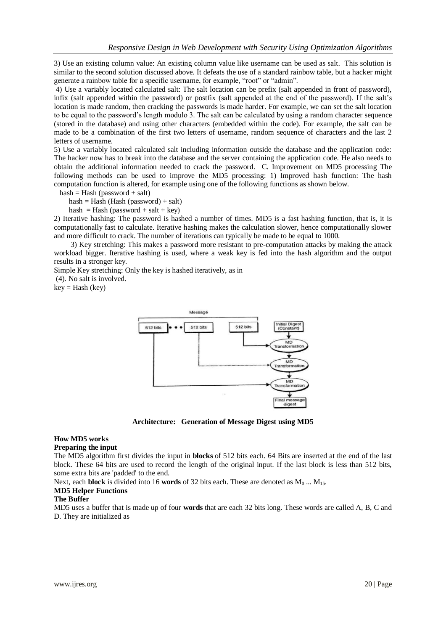3) Use an existing column value: An existing column value like username can be used as salt. This solution is similar to the second solution discussed above. It defeats the use of a standard rainbow table, but a hacker might generate a rainbow table for a specific username, for example, "root" or "admin".

4) Use a variably located calculated salt: The salt location can be prefix (salt appended in front of password), infix (salt appended within the password) or postfix (salt appended at the end of the password). If the salt's location is made random, then cracking the passwords is made harder. For example, we can set the salt location to be equal to the password's length modulo 3. The salt can be calculated by using a random character sequence (stored in the database) and using other characters (embedded within the code). For example, the salt can be made to be a combination of the first two letters of username, random sequence of characters and the last 2 letters of username.

5) Use a variably located calculated salt including information outside the database and the application code: The hacker now has to break into the database and the server containing the application code. He also needs to obtain the additional information needed to crack the password. C. Improvement on MD5 processing The following methods can be used to improve the MD5 processing: 1) Improved hash function: The hash computation function is altered, for example using one of the following functions as shown below.

 $hash = Hash (password + salt)$ 

 $hash = Hash (Hash (password) + salt)$ 

hash = Hash (password + salt + key)

2) Iterative hashing: The password is hashed a number of times. MD5 is a fast hashing function, that is, it is computationally fast to calculate. Iterative hashing makes the calculation slower, hence computationally slower and more difficult to crack. The number of iterations can typically be made to be equal to 1000.

 3) Key stretching: This makes a password more resistant to pre-computation attacks by making the attack workload bigger. Iterative hashing is used, where a weak key is fed into the hash algorithm and the output results in a stronger key.

Simple Key stretching: Only the key is hashed iteratively, as in

(4). No salt is involved.

 $key = Hash (key)$ 



**Architecture: Generation of Message Digest using MD5**

## **How MD5 works**

#### **Preparing the input**

The MD5 algorithm first divides the input in **blocks** of 512 bits each. 64 Bits are inserted at the end of the last block. These 64 bits are used to record the length of the original input. If the last block is less than 512 bits, some extra bits are 'padded' to the end.

Next, each **block** is divided into 16 **words** of 32 bits each. These are denoted as  $M_0$  ...  $M_{15}$ .

#### **MD5 Helper Functions**

#### **The Buffer**

MD5 uses a buffer that is made up of four **words** that are each 32 bits long. These words are called A, B, C and D. They are initialized as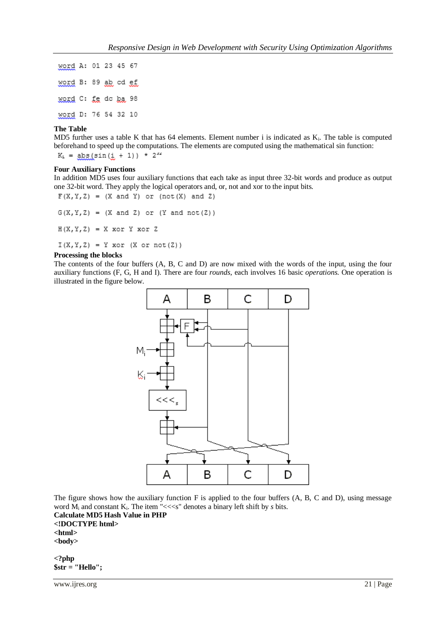word A: 01 23 45 67 word B: 89 ab cd ef word C: fe do ba 98 word D: 76 54 32 10

#### **The Table**

MD5 further uses a table K that has 64 elements. Element number i is indicated as K<sub>i</sub>. The table is computed beforehand to speed up the computations. The elements are computed using the mathematical sin function:

 $K_1 = abs(sin(i + 1)) * 2^{32}$ 

#### **Four Auxiliary Functions**

In addition MD5 uses four auxiliary functions that each take as input three 32-bit words and produce as output one 32-bit word. They apply the logical operators and, or, not and xor to the input bits.

 $F(X, Y, Z) = (X \text{ and } Y)$  or  $(\text{not}(X) \text{ and } Z)$  $G(X, Y, Z) = (X \text{ and } Z)$  or  $(Y \text{ and } \text{not}(Z))$  $H(X, Y, Z) = X$  xor Y xor Z  $I(X, Y, Z) = Y \text{ xor } (X \text{ or } not(Z))$ 

## **Processing the blocks**

The contents of the four buffers (A, B, C and D) are now mixed with the words of the input, using the four auxiliary functions (F, G, H and I). There are four *rounds*, each involves 16 basic *operations*. One operation is illustrated in the figure below.



The figure shows how the auxiliary function F is applied to the four buffers (A, B, C and D), using message word M<sub>i</sub> and constant K<sub>i</sub>. The item "<<<s" denotes a binary left shift by *s* bits.

**Calculate MD5 Hash Value in PHP <!DOCTYPE html> <html> <body>**

**<?php \$str = "Hello";**